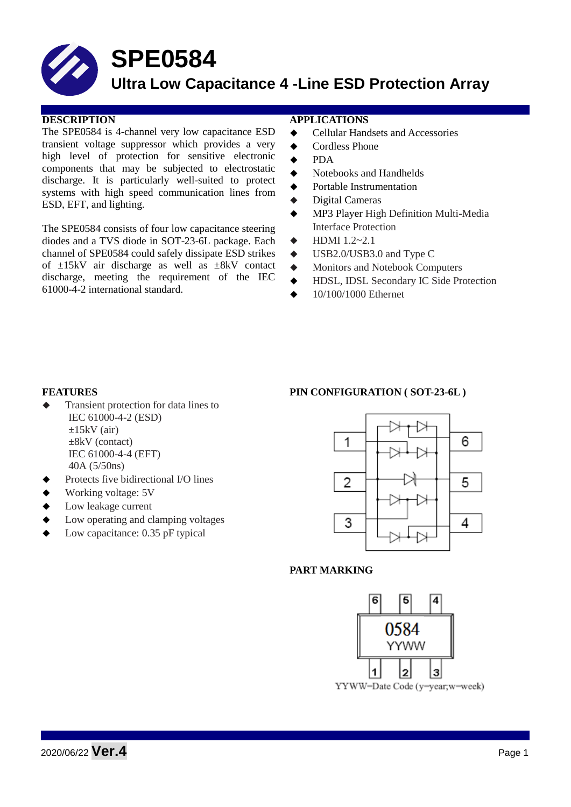# **SPE0584**

## **Ultra Low Capacitance 4 -Line ESD Protection Array**

#### **DESCRIPTION APPLICATIONS**

The SPE0584 is 4-channel very low capacitance ESD transient voltage suppressor which provides a very high level of protection for sensitive electronic components that may be subjected to electrostatic discharge. It is particularly well-suited to protect systems with high speed communication lines from ESD, EFT, and lighting.

The SPE0584 consists of four low capacitance steering diodes and a TVS diode in SOT-23-6L package. Each channel of SPE0584 could safely dissipate ESD strikes of  $\pm 15kV$  air discharge as well as  $\pm 8kV$  contact discharge, meeting the requirement of the IEC 61000-4-2 international standard.

- ◆ Cellular Handsets and Accessories
- ◆ Cordless Phone
- PDA
- Notebooks and Handhelds
- Portable Instrumentation
- Digital Cameras
- MP3 Player High Definition Multi-Media Interface Protection
- $\leftarrow$  HDMI 1.2~2.1
- $\blacklozenge$  USB2.0/USB3.0 and Type C
- Monitors and Notebook Computers
- HDSL, IDSL Secondary IC Side Protection
- 10/100/1000 Ethernet

- Transient protection for data lines to IEC 61000-4-2 (ESD)  $\pm 15$ kV (air) ±8kV (contact) IEC 61000-4-4 (EFT) 40A (5/50ns)
- Protects five bidirectional I/O lines
- Working voltage: 5V
- Low leakage current
- Low operating and clamping voltages
- Low capacitance: 0.35 pF typical

#### **FEATURES PIN CONFIGURATION ( SOT-23-6L )**



#### **PART MARKING**

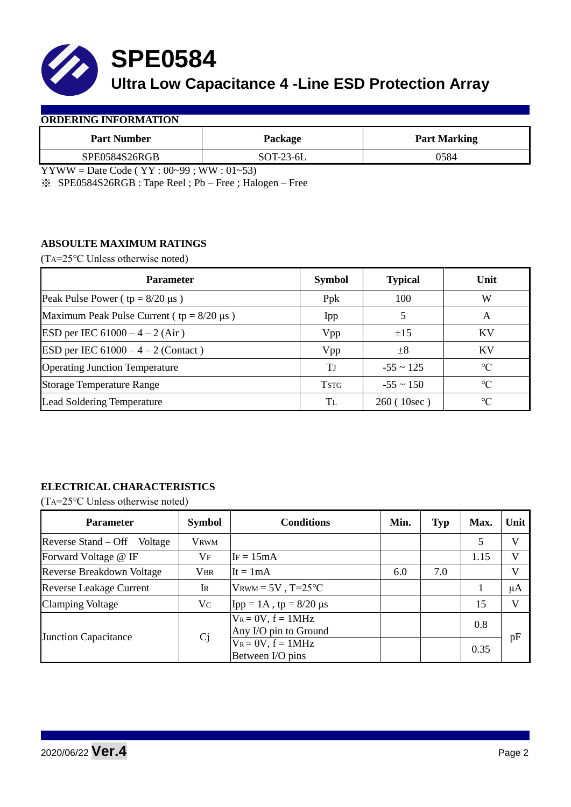

**SPE0584**

## **Ultra Low Capacitance 4 -Line ESD Protection Array**

#### **ORDERING INFORMATION**

| <b>Part Number</b> | Package   | <b>Part Marking</b> |  |  |
|--------------------|-----------|---------------------|--|--|
| SPE0584S26RGB      | SOT-23-6L | 0584                |  |  |

YYWW = Date Code ( $YY:00~99$ ; WW:  $01~53$ )

※ SPE0584S26RGB : Tape Reel ; Pb – Free ; Halogen – Free

#### **ABSOULTE MAXIMUM RATINGS**

(TA=25℃ Unless otherwise noted)

| <b>Parameter</b>                                 | <b>Symbol</b> | <b>Typical</b> | Unit            |
|--------------------------------------------------|---------------|----------------|-----------------|
| Peak Pulse Power ( $tp = 8/20 \mu s$ )           | Ppk           | 100            | W               |
| Maximum Peak Pulse Current ( $tp = 8/20 \mu s$ ) | Ipp           |                | A               |
| ESD per IEC $61000 - 4 - 2$ (Air)                | Vpp           | ±15            | <b>KV</b>       |
| ESD per IEC $61000 - 4 - 2$ (Contact)            | Vpp           | $\pm 8$        | KV              |
| <b>Operating Junction Temperature</b>            | Tj            | $-55 \sim 125$ | $\rm ^{\circ}C$ |
| <b>Storage Temperature Range</b>                 | <b>TSTG</b>   | $-55 \sim 150$ | $\rm ^{\circ}C$ |
| Lead Soldering Temperature                       | Tī.           | 260(10sec)     | $\rm ^{\circ}C$ |

### **ELECTRICAL CHARACTERISTICS**

(TA=25℃ Unless otherwise noted)

| <b>Parameter</b>               | <b>Symbol</b> | <b>Conditions</b>                                | Min. | <b>Typ</b> | Max. | Unit         |
|--------------------------------|---------------|--------------------------------------------------|------|------------|------|--------------|
| Reverse Stand – Off<br>Voltage | <b>VRWM</b>   |                                                  |      |            | 5    | $\mathbf{V}$ |
| Forward Voltage @ IF           | $V_{\rm F}$   | $IF = 15mA$                                      |      |            | 1.15 | V            |
| Reverse Breakdown Voltage      | <b>VBR</b>    | It = $1mA$                                       | 6.0  | 7.0        |      | V            |
| <b>Reverse Leakage Current</b> | <b>IR</b>     | $V_{\text{RWM}} = 5V$ , T=25°C                   |      |            |      | μA           |
| <b>Clamping Voltage</b>        | Vc            | Ipp = 1A, tp = $8/20 \mu s$                      |      |            | 15   | V            |
| <b>Junction Capacitance</b>    | Cj            | $V_R = 0V$ , $f = 1MHz$<br>Any I/O pin to Ground |      |            | 0.8  | pF           |
|                                |               | $V_R = 0V$ , $f = 1MHz$<br>Between I/O pins      |      |            | 0.35 |              |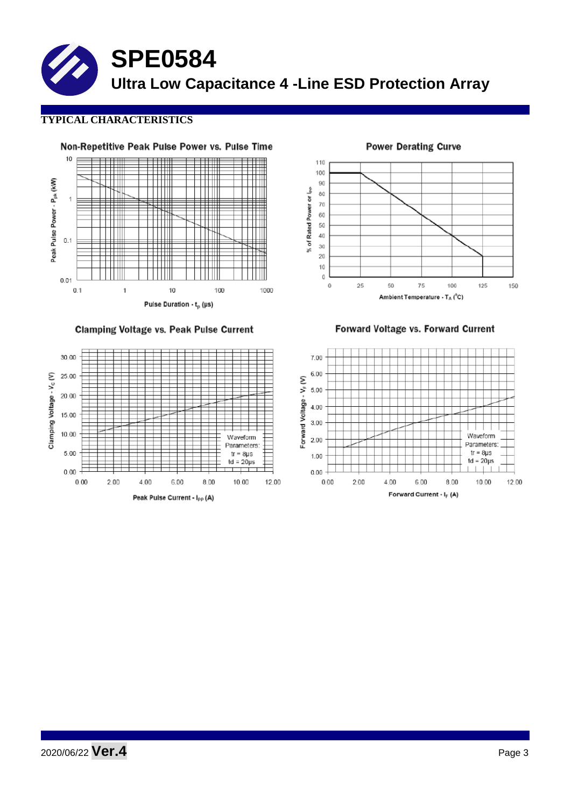**SPE0584 Ultra Low Capacitance 4 -Line ESD Protection Array**

### **TYPICAL CHARACTERISTICS**



**Clamping Voltage vs. Peak Pulse Current** 



110 100  $90^{\circ}$ % of Rated Power or lpp 80  $70$  $_{60}$ 50  $40\,$  $_{30}$  $\overline{20}$  $10$  $\mathbf 0$ 25  $\mathbf 0$ 50 75 100 125 150 Ambient Temperature -  $T_A(^oC)$ 

**Power Derating Curve** 

Forward Voltage vs. Forward Current

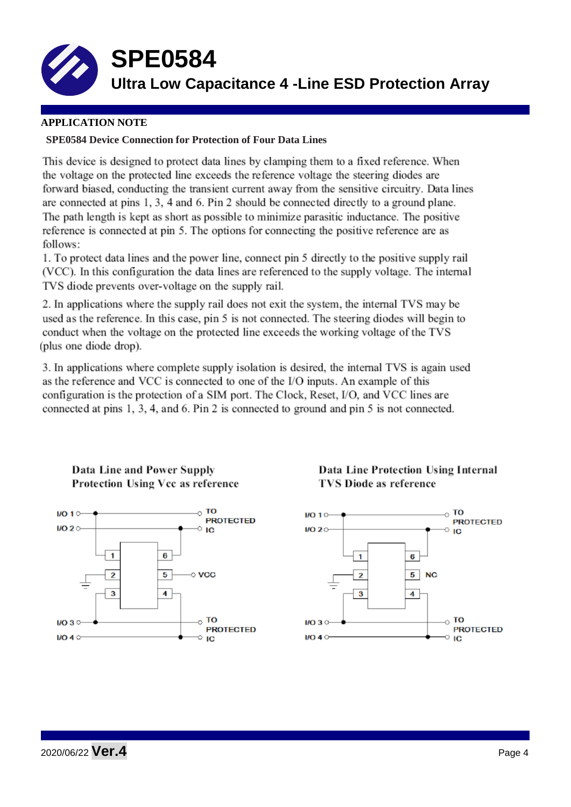

**SPE0584**

**Ultra Low Capacitance 4 -Line ESD Protection Array**

### **APPLICATION NOTE**

### **SPE0584 Device Connection for Protection of Four Data Lines**

This device is designed to protect data lines by clamping them to a fixed reference. When the voltage on the protected line exceeds the reference voltage the steering diodes are forward biased, conducting the transient current away from the sensitive circuitry. Data lines are connected at pins 1, 3, 4 and 6. Pin 2 should be connected directly to a ground plane. The path length is kept as short as possible to minimize parasitic inductance. The positive reference is connected at pin 5. The options for connecting the positive reference are as follows:

1. To protect data lines and the power line, connect pin 5 directly to the positive supply rail (VCC). In this configuration the data lines are referenced to the supply voltage. The internal TVS diode prevents over-voltage on the supply rail.

2. In applications where the supply rail does not exit the system, the internal TVS may be used as the reference. In this case, pin 5 is not connected. The steering diodes will begin to conduct when the voltage on the protected line exceeds the working voltage of the TVS (plus one diode drop).

3. In applications where complete supply isolation is desired, the internal TVS is again used as the reference and VCC is connected to one of the I/O inputs. An example of this configuration is the protection of a SIM port. The Clock, Reset, I/O, and VCC lines are connected at pins 1, 3, 4, and 6. Pin 2 is connected to ground and pin 5 is not connected.





Data Line Protection Using Internal **TVS Diode as reference**